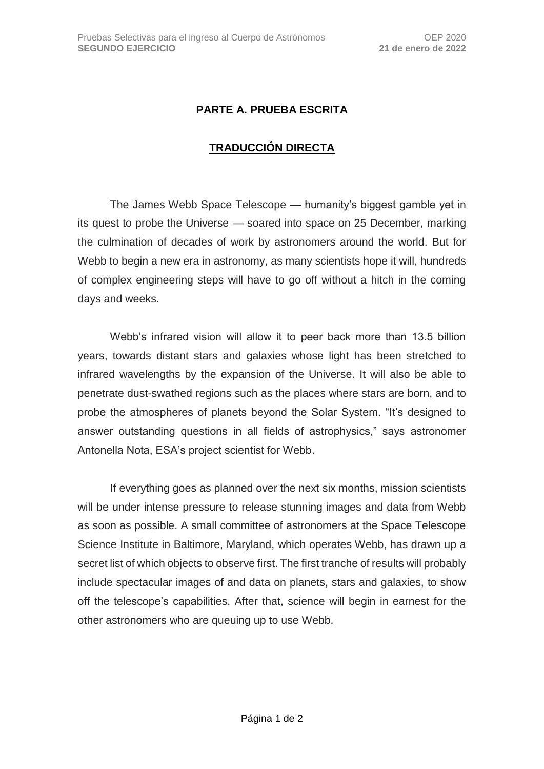## **PARTE A. PRUEBA ESCRITA**

## **TRADUCCIÓN DIRECTA**

The James Webb Space Telescope — humanity's biggest gamble yet in its quest to probe the Universe — soared into space on 25 December, marking the culmination of decades of work by astronomers around the world. But for Webb to begin a new era in astronomy, as many scientists hope it will, hundreds of complex engineering steps will have to go off without a hitch in the coming days and weeks.

Webb's infrared vision will allow it to peer back more than 13.5 billion years, towards distant stars and galaxies whose light has been stretched to infrared wavelengths by the expansion of the Universe. It will also be able to penetrate dust-swathed regions such as the places where stars are born, and to probe the atmospheres of planets beyond the Solar System. "It's designed to answer outstanding questions in all fields of astrophysics," says astronomer Antonella Nota, ESA's project scientist for Webb.

If everything goes as planned over the next six months, mission scientists will be under intense pressure to release stunning images and data from Webb as soon as possible. A small committee of astronomers at the Space Telescope Science Institute in Baltimore, Maryland, which operates Webb, has drawn up a secret list of which objects to observe first. The first tranche of results will probably include spectacular images of and data on planets, stars and galaxies, to show off the telescope's capabilities. After that, science will begin in earnest for the other astronomers who are queuing up to use Webb.